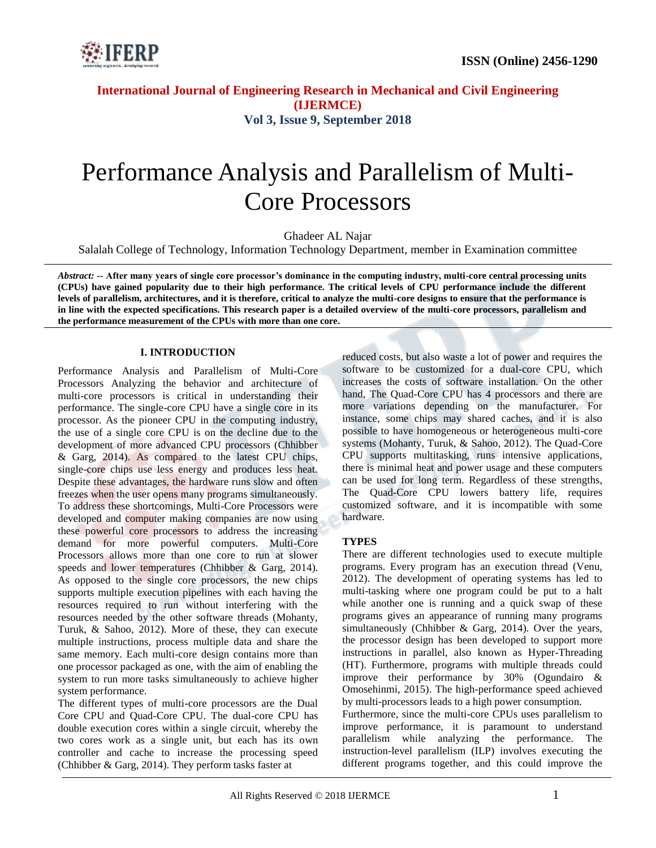

**International Journal of Engineering Research in Mechanical and Civil Engineering (IJERMCE) Vol 3, Issue 9, September 2018**

# Performance Analysis and Parallelism of Multi-Core Processors

Ghadeer AL Najar

Salalah College of Technology, Information Technology Department, member in Examination committee

*Abstract: --* **After many years of single core processor's dominance in the computing industry, multi-core central processing units (CPUs) have gained popularity due to their high performance. The critical levels of CPU performance include the different levels of parallelism, architectures, and it is therefore, critical to analyze the multi-core designs to ensure that the performance is in line with the expected specifications. This research paper is a detailed overview of the multi-core processors, parallelism and the performance measurement of the CPUs with more than one core.**

#### **I. INTRODUCTION**

Performance Analysis and Parallelism of Multi-Core Processors Analyzing the behavior and architecture of multi-core processors is critical in understanding their performance. The single-core CPU have a single core in its processor. As the pioneer CPU in the computing industry, the use of a single core CPU is on the decline due to the development of more advanced CPU processors (Chhibber & Garg, 2014). As compared to the latest CPU chips, single-core chips use less energy and produces less heat. Despite these advantages, the hardware runs slow and often freezes when the user opens many programs simultaneously. To address these shortcomings, Multi-Core Processors were developed and computer making companies are now using these powerful core processors to address the increasing demand for more powerful computers. Multi-Core Processors allows more than one core to run at slower speeds and lower temperatures (Chhibber & Garg, 2014). As opposed to the single core processors, the new chips supports multiple execution pipelines with each having the resources required to run without interfering with the resources needed by the other software threads (Mohanty, Turuk, & Sahoo, 2012). More of these, they can execute multiple instructions, process multiple data and share the same memory. Each multi-core design contains more than one processor packaged as one, with the aim of enabling the system to run more tasks simultaneously to achieve higher system performance.

The different types of multi-core processors are the Dual Core CPU and Quad-Core CPU. The dual-core CPU has double execution cores within a single circuit, whereby the two cores work as a single unit, but each has its own controller and cache to increase the processing speed (Chhibber & Garg, 2014). They perform tasks faster at

reduced costs, but also waste a lot of power and requires the software to be customized for a dual-core CPU, which increases the costs of software installation. On the other hand, The Quad-Core CPU has 4 processors and there are more variations depending on the manufacturer. For instance, some chips may shared caches, and it is also possible to have homogeneous or heterogeneous multi-core systems (Mohanty, Turuk, & Sahoo, 2012). The Quad-Core CPU supports multitasking, runs intensive applications, there is minimal heat and power usage and these computers can be used for long term. Regardless of these strengths, The Quad-Core CPU lowers battery life, requires customized software, and it is incompatible with some hardware.

## **TYPES**

There are different technologies used to execute multiple programs. Every program has an execution thread (Venu, 2012). The development of operating systems has led to multi-tasking where one program could be put to a halt while another one is running and a quick swap of these programs gives an appearance of running many programs simultaneously (Chhibber & Garg, 2014). Over the years, the processor design has been developed to support more instructions in parallel, also known as Hyper-Threading (HT). Furthermore, programs with multiple threads could improve their performance by 30% (Ogundairo & Omosehinmi, 2015). The high-performance speed achieved by multi-processors leads to a high power consumption.

Furthermore, since the multi-core CPUs uses parallelism to improve performance, it is paramount to understand parallelism while analyzing the performance. The instruction-level parallelism (ILP) involves executing the different programs together, and this could improve the